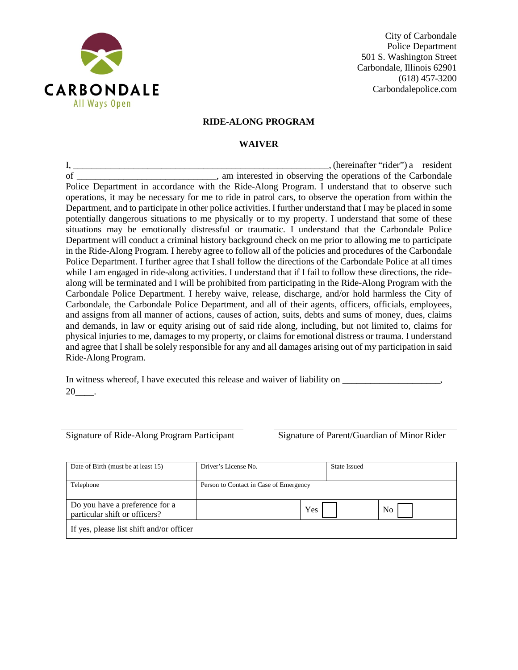

City of Carbondale Police Department 501 S. Washington Street Carbondale, Illinois 62901 (618) 457-3200 Carbondalepolice.com

## **RIDE-ALONG PROGRAM**

## **WAIVER**

I, \_\_\_\_\_\_\_\_\_\_\_\_\_\_\_\_\_\_\_\_\_\_\_\_\_\_\_\_\_\_\_\_\_\_\_\_\_\_\_\_\_\_\_\_\_\_\_\_\_\_\_\_\_\_\_, (hereinafter "rider") a resident of \_\_\_\_\_\_\_\_\_\_\_\_\_\_\_\_\_\_\_\_\_\_\_\_\_\_\_\_\_, am interested in observing the operations of the Carbondale Police Department in accordance with the Ride-Along Program. I understand that to observe such operations, it may be necessary for me to ride in patrol cars, to observe the operation from within the Department, and to participate in other police activities. I further understand that I may be placed in some potentially dangerous situations to me physically or to my property. I understand that some of these situations may be emotionally distressful or traumatic. I understand that the Carbondale Police Department will conduct a criminal history background check on me prior to allowing me to participate in the Ride-Along Program. I hereby agree to follow all of the policies and procedures of the Carbondale Police Department. I further agree that I shall follow the directions of the Carbondale Police at all times while I am engaged in ride-along activities. I understand that if I fail to follow these directions, the ridealong will be terminated and I will be prohibited from participating in the Ride-Along Program with the Carbondale Police Department. I hereby waive, release, discharge, and/or hold harmless the City of Carbondale, the Carbondale Police Department, and all of their agents, officers, officials, employees, and assigns from all manner of actions, causes of action, suits, debts and sums of money, dues, claims and demands, in law or equity arising out of said ride along, including, but not limited to, claims for physical injuries to me, damages to my property, or claims for emotional distress or trauma. I understand and agree that I shall be solely responsible for any and all damages arising out of my participation in said Ride-Along Program.

In witness whereof, I have executed this release and waiver of liability on \_\_\_\_\_\_\_\_\_\_\_\_\_\_\_\_\_\_\_, 20\_\_\_\_.

Signature of Ride-Along Program Participant Signature of Parent/Guardian of Minor Rider

| Date of Birth (must be at least 15)      | Driver's License No.                   |     | <b>State Issued</b> |    |
|------------------------------------------|----------------------------------------|-----|---------------------|----|
|                                          |                                        |     |                     |    |
| Telephone                                | Person to Contact in Case of Emergency |     |                     |    |
|                                          |                                        |     |                     |    |
| Do you have a preference for a           |                                        | Yes |                     | No |
| particular shift or officers?            |                                        |     |                     |    |
| If yes, please list shift and/or officer |                                        |     |                     |    |